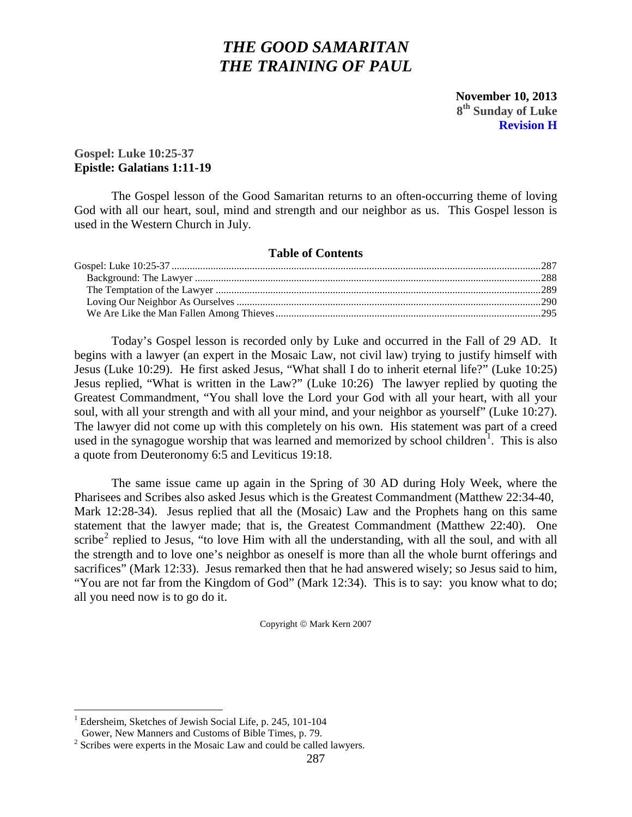# *THE GOOD SAMARITAN THE TRAINING OF PAUL*

 **November 10, 2013 8th Sunday of Luke Revision H**

# <span id="page-0-0"></span>**Gospel: Luke 10:25-37 Epistle: Galatians 1:11-19**

The Gospel lesson of the Good Samaritan returns to an often-occurring theme of loving God with all our heart, soul, mind and strength and our neighbor as us. This Gospel lesson is used in the Western Church in July.

### **Table of Contents**

Today's Gospel lesson is recorded only by Luke and occurred in the Fall of 29 AD. It begins with a lawyer (an expert in the Mosaic Law, not civil law) trying to justify himself with Jesus (Luke 10:29). He first asked Jesus, "What shall I do to inherit eternal life?" (Luke 10:25) Jesus replied, "What is written in the Law?" (Luke 10:26) The lawyer replied by quoting the Greatest Commandment, "You shall love the Lord your God with all your heart, with all your soul, with all your strength and with all your mind, and your neighbor as yourself" (Luke 10:27). The lawyer did not come up with this completely on his own. His statement was part of a creed used in the synagogue worship that was learned and memorized by school children<sup>[1](#page-0-1)</sup>. This is also a quote from Deuteronomy 6:5 and Leviticus 19:18.

The same issue came up again in the Spring of 30 AD during Holy Week, where the Pharisees and Scribes also asked Jesus which is the Greatest Commandment (Matthew 22:34-40, Mark 12:28-34). Jesus replied that all the (Mosaic) Law and the Prophets hang on this same statement that the lawyer made; that is, the Greatest Commandment (Matthew 22:40). One scribe<sup>[2](#page-0-2)</sup> replied to Jesus, "to love Him with all the understanding, with all the soul, and with all the strength and to love one's neighbor as oneself is more than all the whole burnt offerings and sacrifices" (Mark 12:33). Jesus remarked then that he had answered wisely; so Jesus said to him, "You are not far from the Kingdom of God" (Mark 12:34). This is to say: you know what to do; all you need now is to go do it.

Copyright  $\textcircled{\$  Mark Kern 2007

<span id="page-0-1"></span><sup>&</sup>lt;sup>1</sup> Edersheim, Sketches of Jewish Social Life, p. 245, 101-104 Gower, New Manners and Customs of Bible Times, p. 79.

<span id="page-0-2"></span> $2$  Scribes were experts in the Mosaic Law and could be called lawyers.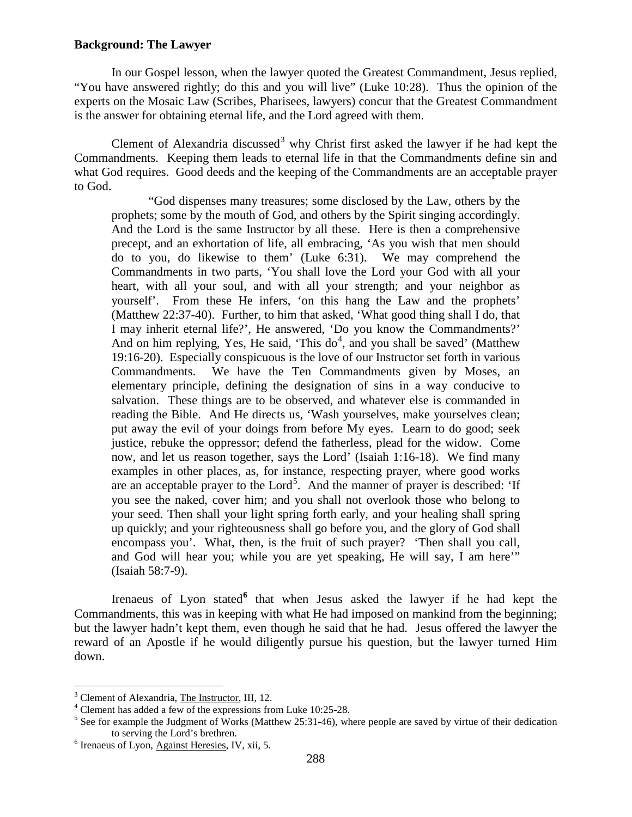## <span id="page-1-0"></span>**Background: The Lawyer**

In our Gospel lesson, when the lawyer quoted the Greatest Commandment, Jesus replied, "You have answered rightly; do this and you will live" (Luke 10:28). Thus the opinion of the experts on the Mosaic Law (Scribes, Pharisees, lawyers) concur that the Greatest Commandment is the answer for obtaining eternal life, and the Lord agreed with them.

Clement of Alexandria discussed<sup>[3](#page-1-1)</sup> why Christ first asked the lawyer if he had kept the Commandments. Keeping them leads to eternal life in that the Commandments define sin and what God requires. Good deeds and the keeping of the Commandments are an acceptable prayer to God.

"God dispenses many treasures; some disclosed by the Law, others by the prophets; some by the mouth of God, and others by the Spirit singing accordingly. And the Lord is the same Instructor by all these. Here is then a comprehensive precept, and an exhortation of life, all embracing, 'As you wish that men should do to you, do likewise to them' (Luke 6:31). We may comprehend the Commandments in two parts, 'You shall love the Lord your God with all your heart, with all your soul, and with all your strength; and your neighbor as yourself'. From these He infers, 'on this hang the Law and the prophets' (Matthew 22:37-40). Further, to him that asked, 'What good thing shall I do, that I may inherit eternal life?', He answered, 'Do you know the Commandments?' And on him replying, Yes, He said, 'This  $do<sup>4</sup>$  $do<sup>4</sup>$  $do<sup>4</sup>$ , and you shall be saved' (Matthew 19:16-20). Especially conspicuous is the love of our Instructor set forth in various Commandments. We have the Ten Commandments given by Moses, an elementary principle, defining the designation of sins in a way conducive to salvation. These things are to be observed, and whatever else is commanded in reading the Bible. And He directs us, 'Wash yourselves, make yourselves clean; put away the evil of your doings from before My eyes. Learn to do good; seek justice, rebuke the oppressor; defend the fatherless, plead for the widow. Come now, and let us reason together, says the Lord' (Isaiah 1:16-18). We find many examples in other places, as, for instance, respecting prayer, where good works are an acceptable prayer to the Lord<sup>[5](#page-1-3)</sup>. And the manner of prayer is described: 'If you see the naked, cover him; and you shall not overlook those who belong to your seed. Then shall your light spring forth early, and your healing shall spring up quickly; and your righteousness shall go before you, and the glory of God shall encompass you'. What, then, is the fruit of such prayer? 'Then shall you call, and God will hear you; while you are yet speaking, He will say, I am here'" (Isaiah 58:7-9).

Irenaeus of Lyon stated<sup>[6](#page-1-4)</sup> that when Jesus asked the lawyer if he had kept the Commandments, this was in keeping with what He had imposed on mankind from the beginning; but the lawyer hadn't kept them, even though he said that he had. Jesus offered the lawyer the reward of an Apostle if he would diligently pursue his question, but the lawyer turned Him down.

<span id="page-1-3"></span><span id="page-1-2"></span>

<span id="page-1-1"></span><sup>&</sup>lt;sup>3</sup> Clement of Alexandria, <u>The Instructor</u>, III, 12.<br><sup>4</sup> Clement has added a few of the expressions from Luke 10:25-28.<br><sup>5</sup> See for example the Judgment of Works (Matthew 25:31-46), where people are saved by virtue of th

<span id="page-1-4"></span> $6$  Irenaeus of Lyon, Against Heresies, IV, xii, 5.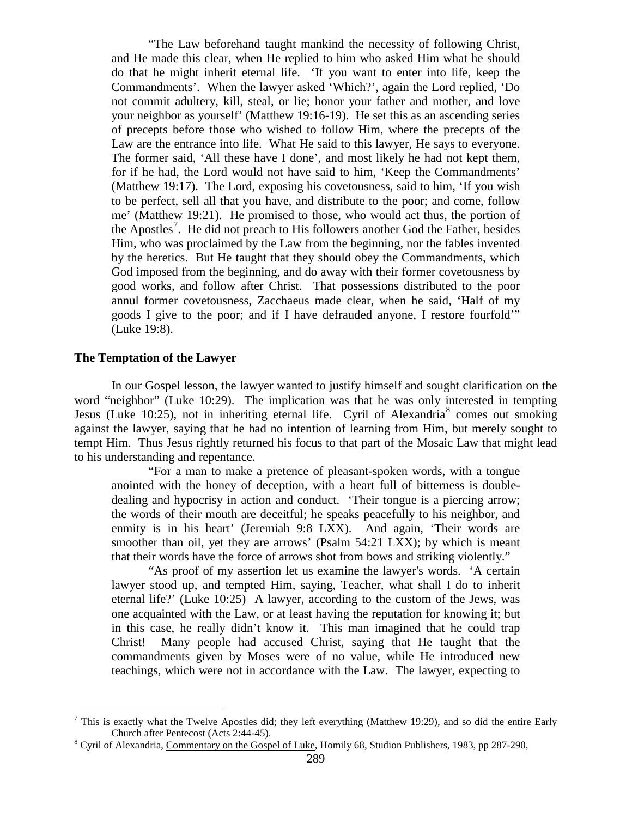"The Law beforehand taught mankind the necessity of following Christ, and He made this clear, when He replied to him who asked Him what he should do that he might inherit eternal life. 'If you want to enter into life, keep the Commandments'. When the lawyer asked 'Which?', again the Lord replied, 'Do not commit adultery, kill, steal, or lie; honor your father and mother, and love your neighbor as yourself' (Matthew 19:16-19). He set this as an ascending series of precepts before those who wished to follow Him, where the precepts of the Law are the entrance into life. What He said to this lawyer, He says to everyone. The former said, 'All these have I done', and most likely he had not kept them, for if he had, the Lord would not have said to him, 'Keep the Commandments' (Matthew 19:17). The Lord, exposing his covetousness, said to him, 'If you wish to be perfect, sell all that you have, and distribute to the poor; and come, follow me' (Matthew 19:21). He promised to those, who would act thus, the portion of the Apostles<sup>[7](#page-2-1)</sup>. He did not preach to His followers another God the Father, besides Him, who was proclaimed by the Law from the beginning, nor the fables invented by the heretics. But He taught that they should obey the Commandments, which God imposed from the beginning, and do away with their former covetousness by good works, and follow after Christ. That possessions distributed to the poor annul former covetousness, Zacchaeus made clear, when he said, 'Half of my goods I give to the poor; and if I have defrauded anyone, I restore fourfold'" (Luke 19:8).

## <span id="page-2-0"></span>**The Temptation of the Lawyer**

In our Gospel lesson, the lawyer wanted to justify himself and sought clarification on the word "neighbor" (Luke 10:29). The implication was that he was only interested in tempting Jesus (Luke 10:25), not in inheriting eternal life. Cyril of Alexandria<sup>[8](#page-2-2)</sup> comes out smoking against the lawyer, saying that he had no intention of learning from Him, but merely sought to tempt Him. Thus Jesus rightly returned his focus to that part of the Mosaic Law that might lead to his understanding and repentance.

"For a man to make a pretence of pleasant-spoken words, with a tongue anointed with the honey of deception, with a heart full of bitterness is doubledealing and hypocrisy in action and conduct. 'Their tongue is a piercing arrow; the words of their mouth are deceitful; he speaks peacefully to his neighbor, and enmity is in his heart' (Jeremiah 9:8 LXX). And again, 'Their words are smoother than oil, yet they are arrows' (Psalm 54:21 LXX); by which is meant that their words have the force of arrows shot from bows and striking violently."

"As proof of my assertion let us examine the lawyer's words. 'A certain lawyer stood up, and tempted Him, saying, Teacher, what shall I do to inherit eternal life?' (Luke 10:25) A lawyer, according to the custom of the Jews, was one acquainted with the Law, or at least having the reputation for knowing it; but in this case, he really didn't know it. This man imagined that he could trap Christ! Many people had accused Christ, saying that He taught that the commandments given by Moses were of no value, while He introduced new teachings, which were not in accordance with the Law. The lawyer, expecting to

<span id="page-2-1"></span><sup>&</sup>lt;sup>7</sup> This is exactly what the Twelve Apostles did; they left everything (Matthew 19:29), and so did the entire Early Church after Pentecost (Acts 2:44-45).

<span id="page-2-2"></span><sup>&</sup>lt;sup>8</sup> Cyril of Alexandria, Commentary on the Gospel of Luke, Homily 68, Studion Publishers, 1983, pp 287-290,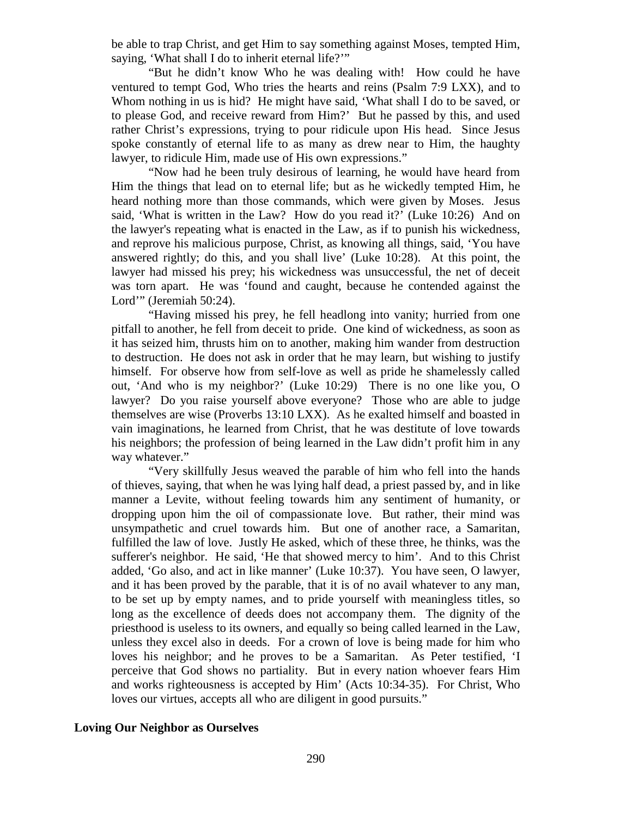be able to trap Christ, and get Him to say something against Moses, tempted Him, saying, 'What shall I do to inherit eternal life?'"

"But he didn't know Who he was dealing with! How could he have ventured to tempt God, Who tries the hearts and reins (Psalm 7:9 LXX), and to Whom nothing in us is hid? He might have said, 'What shall I do to be saved, or to please God, and receive reward from Him?' But he passed by this, and used rather Christ's expressions, trying to pour ridicule upon His head. Since Jesus spoke constantly of eternal life to as many as drew near to Him, the haughty lawyer, to ridicule Him, made use of His own expressions."

"Now had he been truly desirous of learning, he would have heard from Him the things that lead on to eternal life; but as he wickedly tempted Him, he heard nothing more than those commands, which were given by Moses. Jesus said, 'What is written in the Law? How do you read it?' (Luke 10:26) And on the lawyer's repeating what is enacted in the Law, as if to punish his wickedness, and reprove his malicious purpose, Christ, as knowing all things, said, 'You have answered rightly; do this, and you shall live' (Luke 10:28). At this point, the lawyer had missed his prey; his wickedness was unsuccessful, the net of deceit was torn apart. He was 'found and caught, because he contended against the Lord'" (Jeremiah 50:24).

"Having missed his prey, he fell headlong into vanity; hurried from one pitfall to another, he fell from deceit to pride. One kind of wickedness, as soon as it has seized him, thrusts him on to another, making him wander from destruction to destruction. He does not ask in order that he may learn, but wishing to justify himself. For observe how from self-love as well as pride he shamelessly called out, 'And who is my neighbor?' (Luke 10:29) There is no one like you, O lawyer? Do you raise yourself above everyone? Those who are able to judge themselves are wise (Proverbs 13:10 LXX). As he exalted himself and boasted in vain imaginations, he learned from Christ, that he was destitute of love towards his neighbors; the profession of being learned in the Law didn't profit him in any way whatever."

"Very skillfully Jesus weaved the parable of him who fell into the hands of thieves, saying, that when he was lying half dead, a priest passed by, and in like manner a Levite, without feeling towards him any sentiment of humanity, or dropping upon him the oil of compassionate love. But rather, their mind was unsympathetic and cruel towards him. But one of another race, a Samaritan, fulfilled the law of love. Justly He asked, which of these three, he thinks, was the sufferer's neighbor. He said, 'He that showed mercy to him'. And to this Christ added, 'Go also, and act in like manner' (Luke 10:37). You have seen, O lawyer, and it has been proved by the parable, that it is of no avail whatever to any man, to be set up by empty names, and to pride yourself with meaningless titles, so long as the excellence of deeds does not accompany them. The dignity of the priesthood is useless to its owners, and equally so being called learned in the Law, unless they excel also in deeds. For a crown of love is being made for him who loves his neighbor; and he proves to be a Samaritan. As Peter testified, 'I perceive that God shows no partiality. But in every nation whoever fears Him and works righteousness is accepted by Him' (Acts 10:34-35). For Christ, Who loves our virtues, accepts all who are diligent in good pursuits."

## <span id="page-3-0"></span>**Loving Our Neighbor as Ourselves**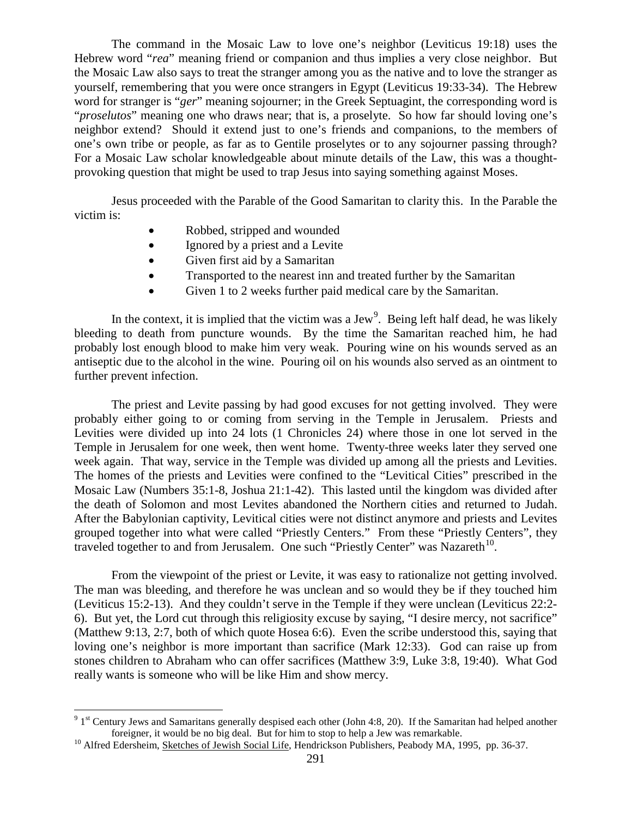The command in the Mosaic Law to love one's neighbor (Leviticus 19:18) uses the Hebrew word "*rea*" meaning friend or companion and thus implies a very close neighbor. But the Mosaic Law also says to treat the stranger among you as the native and to love the stranger as yourself, remembering that you were once strangers in Egypt (Leviticus 19:33-34). The Hebrew word for stranger is "*ger*" meaning sojourner; in the Greek Septuagint, the corresponding word is "*proselutos*" meaning one who draws near; that is, a proselyte. So how far should loving one's neighbor extend? Should it extend just to one's friends and companions, to the members of one's own tribe or people, as far as to Gentile proselytes or to any sojourner passing through? For a Mosaic Law scholar knowledgeable about minute details of the Law, this was a thoughtprovoking question that might be used to trap Jesus into saying something against Moses.

Jesus proceeded with the Parable of the Good Samaritan to clarity this. In the Parable the victim is:

- Robbed, stripped and wounded
- Ignored by a priest and a Levite
- Given first aid by a Samaritan
- Transported to the nearest inn and treated further by the Samaritan
- Given 1 to 2 weeks further paid medical care by the Samaritan.

In the context, it is implied that the victim was a Jew<sup>[9](#page-4-0)</sup>. Being left half dead, he was likely bleeding to death from puncture wounds. By the time the Samaritan reached him, he had probably lost enough blood to make him very weak. Pouring wine on his wounds served as an antiseptic due to the alcohol in the wine. Pouring oil on his wounds also served as an ointment to further prevent infection.

The priest and Levite passing by had good excuses for not getting involved. They were probably either going to or coming from serving in the Temple in Jerusalem. Priests and Levities were divided up into 24 lots (1 Chronicles 24) where those in one lot served in the Temple in Jerusalem for one week, then went home. Twenty-three weeks later they served one week again. That way, service in the Temple was divided up among all the priests and Levities. The homes of the priests and Levities were confined to the "Levitical Cities" prescribed in the Mosaic Law (Numbers 35:1-8, Joshua 21:1-42). This lasted until the kingdom was divided after the death of Solomon and most Levites abandoned the Northern cities and returned to Judah. After the Babylonian captivity, Levitical cities were not distinct anymore and priests and Levites grouped together into what were called "Priestly Centers." From these "Priestly Centers", they traveled together to and from Jerusalem. One such "Priestly Center" was Nazareth $^{10}$ .

From the viewpoint of the priest or Levite, it was easy to rationalize not getting involved. The man was bleeding, and therefore he was unclean and so would they be if they touched him (Leviticus 15:2-13). And they couldn't serve in the Temple if they were unclean (Leviticus 22:2- 6). But yet, the Lord cut through this religiosity excuse by saying, "I desire mercy, not sacrifice" (Matthew 9:13, 2:7, both of which quote Hosea 6:6). Even the scribe understood this, saying that loving one's neighbor is more important than sacrifice (Mark 12:33). God can raise up from stones children to Abraham who can offer sacrifices (Matthew 3:9, Luke 3:8, 19:40). What God really wants is someone who will be like Him and show mercy.

<span id="page-4-0"></span><sup>&</sup>lt;sup>9</sup> 1<sup>st</sup> Century Jews and Samaritans generally despised each other (John 4:8, 20). If the Samaritan had helped another foreigner, it would be no big deal. But for him to stop to help a Jew was remarkable.

<span id="page-4-1"></span><sup>&</sup>lt;sup>10</sup> Alfred Edersheim, Sketches of Jewish Social Life, Hendrickson Publishers, Peabody MA, 1995, pp. 36-37.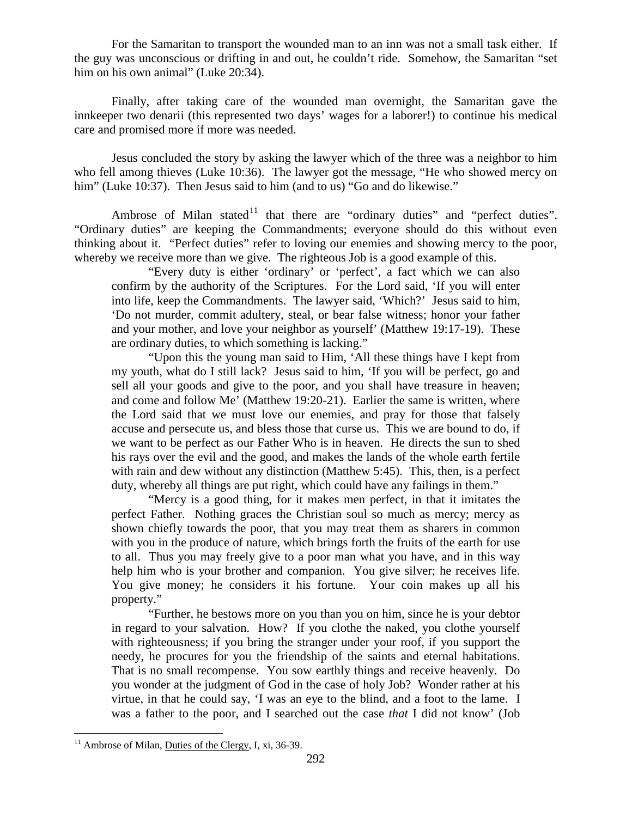For the Samaritan to transport the wounded man to an inn was not a small task either. If the guy was unconscious or drifting in and out, he couldn't ride. Somehow, the Samaritan "set him on his own animal" (Luke 20:34).

Finally, after taking care of the wounded man overnight, the Samaritan gave the innkeeper two denarii (this represented two days' wages for a laborer!) to continue his medical care and promised more if more was needed.

Jesus concluded the story by asking the lawyer which of the three was a neighbor to him who fell among thieves (Luke 10:36). The lawyer got the message, "He who showed mercy on him" (Luke 10:37). Then Jesus said to him (and to us) "Go and do likewise."

Ambrose of Milan stated<sup>[11](#page-5-0)</sup> that there are "ordinary duties" and "perfect duties". "Ordinary duties" are keeping the Commandments; everyone should do this without even thinking about it. "Perfect duties" refer to loving our enemies and showing mercy to the poor, whereby we receive more than we give. The righteous Job is a good example of this.

"Every duty is either 'ordinary' or 'perfect', a fact which we can also confirm by the authority of the Scriptures. For the Lord said, 'If you will enter into life, keep the Commandments. The lawyer said, 'Which?' Jesus said to him, 'Do not murder, commit adultery, steal, or bear false witness; honor your father and your mother, and love your neighbor as yourself' (Matthew 19:17-19). These are ordinary duties, to which something is lacking."

"Upon this the young man said to Him, 'All these things have I kept from my youth, what do I still lack? Jesus said to him, 'If you will be perfect, go and sell all your goods and give to the poor, and you shall have treasure in heaven; and come and follow Me' (Matthew 19:20-21). Earlier the same is written, where the Lord said that we must love our enemies, and pray for those that falsely accuse and persecute us, and bless those that curse us. This we are bound to do, if we want to be perfect as our Father Who is in heaven. He directs the sun to shed his rays over the evil and the good, and makes the lands of the whole earth fertile with rain and dew without any distinction (Matthew 5:45). This, then, is a perfect duty, whereby all things are put right, which could have any failings in them."

"Mercy is a good thing, for it makes men perfect, in that it imitates the perfect Father. Nothing graces the Christian soul so much as mercy; mercy as shown chiefly towards the poor, that you may treat them as sharers in common with you in the produce of nature, which brings forth the fruits of the earth for use to all. Thus you may freely give to a poor man what you have, and in this way help him who is your brother and companion. You give silver; he receives life. You give money; he considers it his fortune. Your coin makes up all his property."

"Further, he bestows more on you than you on him, since he is your debtor in regard to your salvation. How? If you clothe the naked, you clothe yourself with righteousness; if you bring the stranger under your roof, if you support the needy, he procures for you the friendship of the saints and eternal habitations. That is no small recompense. You sow earthly things and receive heavenly. Do you wonder at the judgment of God in the case of holy Job? Wonder rather at his virtue, in that he could say,  $\dot{\mathbf{I}}$  was an eye to the blind, and a foot to the lame. I was a father to the poor, and I searched out the case *that* I did not know' (Job

<span id="page-5-0"></span> $11$  Ambrose of Milan, Duties of the Clergy, I, xi, 36-39.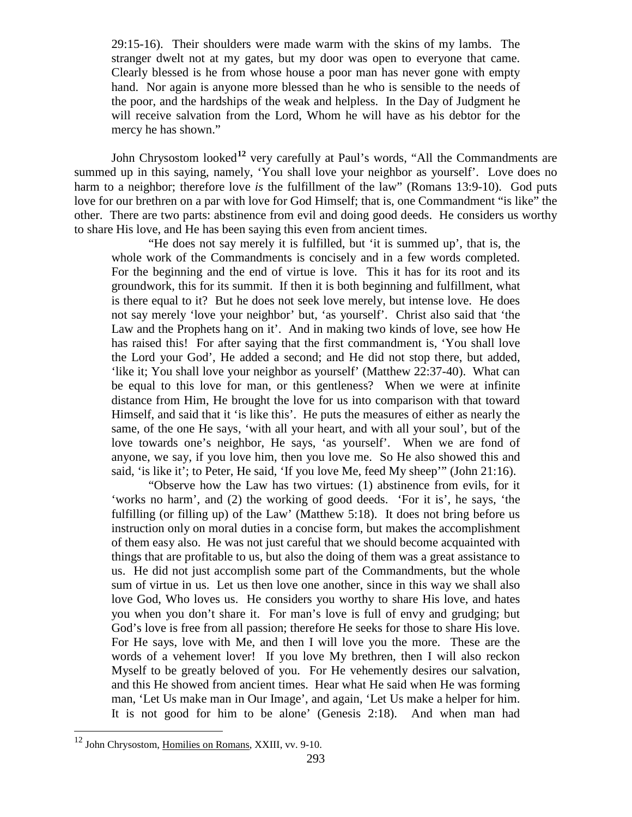29:15-16). Their shoulders were made warm with the skins of my lambs. The stranger dwelt not at my gates, but my door was open to everyone that came. Clearly blessed is he from whose house a poor man has never gone with empty hand. Nor again is anyone more blessed than he who is sensible to the needs of the poor, and the hardships of the weak and helpless. In the Day of Judgment he will receive salvation from the Lord, Whom he will have as his debtor for the mercy he has shown."

John Chrysostom looked**[12](#page-6-0)** very carefully at Paul's words, "All the Commandments are summed up in this saying, namely, 'You shall love your neighbor as yourself'. Love does no harm to a neighbor; therefore love *is* the fulfillment of the law" (Romans 13:9-10). God puts love for our brethren on a par with love for God Himself; that is, one Commandment "is like" the other. There are two parts: abstinence from evil and doing good deeds. He considers us worthy to share His love, and He has been saying this even from ancient times.

"He does not say merely it is fulfilled, but 'it is summed up', that is, the whole work of the Commandments is concisely and in a few words completed. For the beginning and the end of virtue is love. This it has for its root and its groundwork, this for its summit. If then it is both beginning and fulfillment, what is there equal to it? But he does not seek love merely, but intense love. He does not say merely 'love your neighbor' but, 'as yourself'. Christ also said that 'the Law and the Prophets hang on it'. And in making two kinds of love, see how He has raised this! For after saying that the first commandment is, 'You shall love the Lord your God', He added a second; and He did not stop there, but added, 'like it; You shall love your neighbor as yourself' (Matthew 22:37-40). What can be equal to this love for man, or this gentleness? When we were at infinite distance from Him, He brought the love for us into comparison with that toward Himself, and said that it 'is like this'. He puts the measures of either as nearly the same, of the one He says, 'with all your heart, and with all your soul', but of the love towards one's neighbor, He says, 'as yourself'. When we are fond of anyone, we say, if you love him, then you love me. So He also showed this and said, 'is like it'; to Peter, He said, 'If you love Me, feed My sheep'" (John 21:16).

"Observe how the Law has two virtues: (1) abstinence from evils, for it 'works no harm', and (2) the working of good deeds. 'For it is', he says, 'the fulfilling (or filling up) of the Law' (Matthew 5:18). It does not bring before us instruction only on moral duties in a concise form, but makes the accomplishment of them easy also. He was not just careful that we should become acquainted with things that are profitable to us, but also the doing of them was a great assistance to us. He did not just accomplish some part of the Commandments, but the whole sum of virtue in us. Let us then love one another, since in this way we shall also love God, Who loves us. He considers you worthy to share His love, and hates you when you don't share it. For man's love is full of envy and grudging; but God's love is free from all passion; therefore He seeks for those to share His love. For He says, love with Me, and then I will love you the more. These are the words of a vehement lover! If you love My brethren, then I will also reckon Myself to be greatly beloved of you. For He vehemently desires our salvation, and this He showed from ancient times. Hear what He said when He was forming man, 'Let Us make man in Our Image', and again, 'Let Us make a helper for him. It is not good for him to be alone' (Genesis 2:18). And when man had

<span id="page-6-0"></span> <sup>12</sup> John Chrysostom, Homilies on Romans, XXIII, vv. 9-10.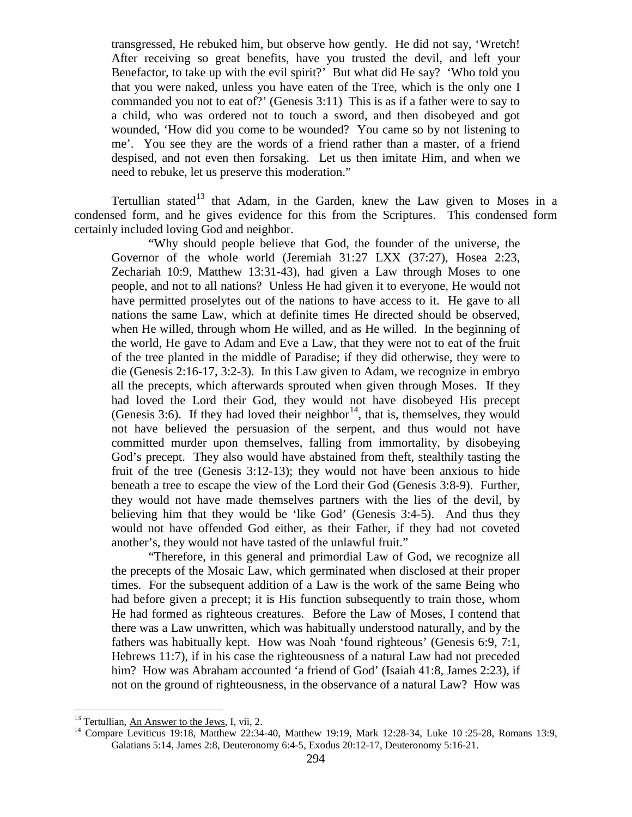transgressed, He rebuked him, but observe how gently. He did not say, 'Wretch! After receiving so great benefits, have you trusted the devil, and left your Benefactor, to take up with the evil spirit?' But what did He say? 'Who told you that you were naked, unless you have eaten of the Tree, which is the only one I commanded you not to eat of?' (Genesis 3:11) This is as if a father were to say to a child, who was ordered not to touch a sword, and then disobeyed and got wounded, 'How did you come to be wounded? You came so by not listening to me'. You see they are the words of a friend rather than a master, of a friend despised, and not even then forsaking. Let us then imitate Him, and when we need to rebuke, let us preserve this moderation."

Tertullian stated<sup>[13](#page-7-0)</sup> that Adam, in the Garden, knew the Law given to Moses in a condensed form, and he gives evidence for this from the Scriptures. This condensed form certainly included loving God and neighbor.

"Why should people believe that God, the founder of the universe, the Governor of the whole world (Jeremiah 31:27 LXX (37:27), Hosea 2:23, Zechariah 10:9, Matthew 13:31-43), had given a Law through Moses to one people, and not to all nations? Unless He had given it to everyone, He would not have permitted proselytes out of the nations to have access to it. He gave to all nations the same Law, which at definite times He directed should be observed, when He willed, through whom He willed, and as He willed. In the beginning of the world, He gave to Adam and Eve a Law, that they were not to eat of the fruit of the tree planted in the middle of Paradise; if they did otherwise, they were to die (Genesis 2:16-17, 3:2-3). In this Law given to Adam, we recognize in embryo all the precepts, which afterwards sprouted when given through Moses. If they had loved the Lord their God, they would not have disobeyed His precept (Genesis 3:6). If they had loved their neighbor<sup>[14](#page-7-1)</sup>, that is, themselves, they would not have believed the persuasion of the serpent, and thus would not have committed murder upon themselves, falling from immortality, by disobeying God's precept. They also would have abstained from theft, stealthily tasting the fruit of the tree (Genesis 3:12-13); they would not have been anxious to hide beneath a tree to escape the view of the Lord their God (Genesis 3:8-9). Further, they would not have made themselves partners with the lies of the devil, by believing him that they would be 'like God' (Genesis 3:4-5). And thus they would not have offended God either, as their Father, if they had not coveted another's, they would not have tasted of the unlawful fruit."

"Therefore, in this general and primordial Law of God, we recognize all the precepts of the Mosaic Law, which germinated when disclosed at their proper times. For the subsequent addition of a Law is the work of the same Being who had before given a precept; it is His function subsequently to train those, whom He had formed as righteous creatures. Before the Law of Moses, I contend that there was a Law unwritten, which was habitually understood naturally, and by the fathers was habitually kept. How was Noah 'found righteous' (Genesis 6:9, 7:1, Hebrews 11:7), if in his case the righteousness of a natural Law had not preceded him? How was Abraham accounted 'a friend of God' (Isaiah 41:8, James 2:23), if not on the ground of righteousness, in the observance of a natural Law? How was

<span id="page-7-1"></span><span id="page-7-0"></span><sup>&</sup>lt;sup>13</sup> Tertullian, An Answer to the Jews, I, vii, 2.<br><sup>14</sup> Compare Leviticus 19:18, Matthew 22:34-40, Matthew 19:19, Mark 12:28-34, Luke 10 :25-28, Romans 13:9, Galatians 5:14, James 2:8, Deuteronomy 6:4-5, Exodus 20:12-17, Deuteronomy 5:16-21.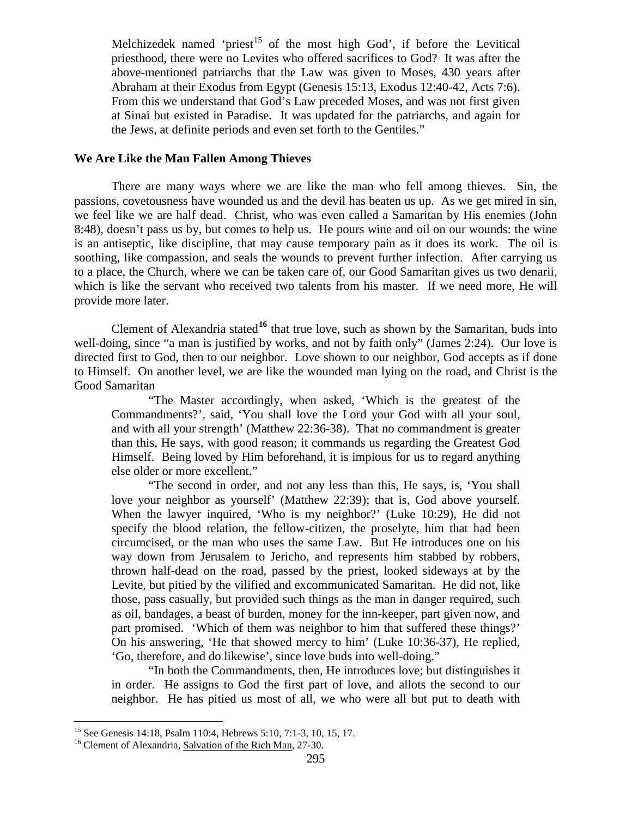Melchizedek named 'priest<sup>[15](#page-8-1)</sup> of the most high God', if before the Levitical priesthood, there were no Levites who offered sacrifices to God? It was after the above-mentioned patriarchs that the Law was given to Moses, 430 years after Abraham at their Exodus from Egypt (Genesis 15:13, Exodus 12:40-42, Acts 7:6). From this we understand that God's Law preceded Moses, and was not first given at Sinai but existed in Paradise. It was updated for the patriarchs, and again for the Jews, at definite periods and even set forth to the Gentiles."

## <span id="page-8-0"></span>**We Are Like the Man Fallen Among Thieves**

There are many ways where we are like the man who fell among thieves. Sin, the passions, covetousness have wounded us and the devil has beaten us up. As we get mired in sin, we feel like we are half dead. Christ, who was even called a Samaritan by His enemies (John 8:48), doesn't pass us by, but comes to help us. He pours wine and oil on our wounds: the wine is an antiseptic, like discipline, that may cause temporary pain as it does its work. The oil is soothing, like compassion, and seals the wounds to prevent further infection. After carrying us to a place, the Church, where we can be taken care of, our Good Samaritan gives us two denarii, which is like the servant who received two talents from his master. If we need more, He will provide more later.

Clement of Alexandria stated<sup>[16](#page-8-2)</sup> that true love, such as shown by the Samaritan, buds into well-doing, since "a man is justified by works, and not by faith only" (James 2:24). Our love is directed first to God, then to our neighbor. Love shown to our neighbor, God accepts as if done to Himself. On another level, we are like the wounded man lying on the road, and Christ is the Good Samaritan

"The Master accordingly, when asked, 'Which is the greatest of the Commandments?', said, 'You shall love the Lord your God with all your soul, and with all your strength' (Matthew 22:36-38). That no commandment is greater than this, He says, with good reason; it commands us regarding the Greatest God Himself. Being loved by Him beforehand, it is impious for us to regard anything else older or more excellent."

"The second in order, and not any less than this, He says, is, 'You shall love your neighbor as yourself' (Matthew 22:39); that is, God above yourself. When the lawyer inquired, 'Who is my neighbor?' (Luke 10:29), He did not specify the blood relation, the fellow-citizen, the proselyte, him that had been circumcised, or the man who uses the same Law. But He introduces one on his way down from Jerusalem to Jericho, and represents him stabbed by robbers, thrown half-dead on the road, passed by the priest, looked sideways at by the Levite, but pitied by the vilified and excommunicated Samaritan. He did not, like those, pass casually, but provided such things as the man in danger required, such as oil, bandages, a beast of burden, money for the inn-keeper, part given now, and part promised. 'Which of them was neighbor to him that suffered these things?' On his answering, 'He that showed mercy to him' (Luke 10:36-37), He replied, 'Go, therefore, and do likewise', since love buds into well-doing."

"In both the Commandments, then, He introduces love; but distinguishes it in order. He assigns to God the first part of love, and allots the second to our neighbor. He has pitied us most of all, we who were all but put to death with

<span id="page-8-1"></span><sup>&</sup>lt;sup>15</sup> See Genesis 14:18, Psalm 110:4, Hebrews 5:10, 7:1-3, 10, 15, 17.<br><sup>16</sup> Clement of Alexandria, Salvation of the Rich Man, 27-30.

<span id="page-8-2"></span>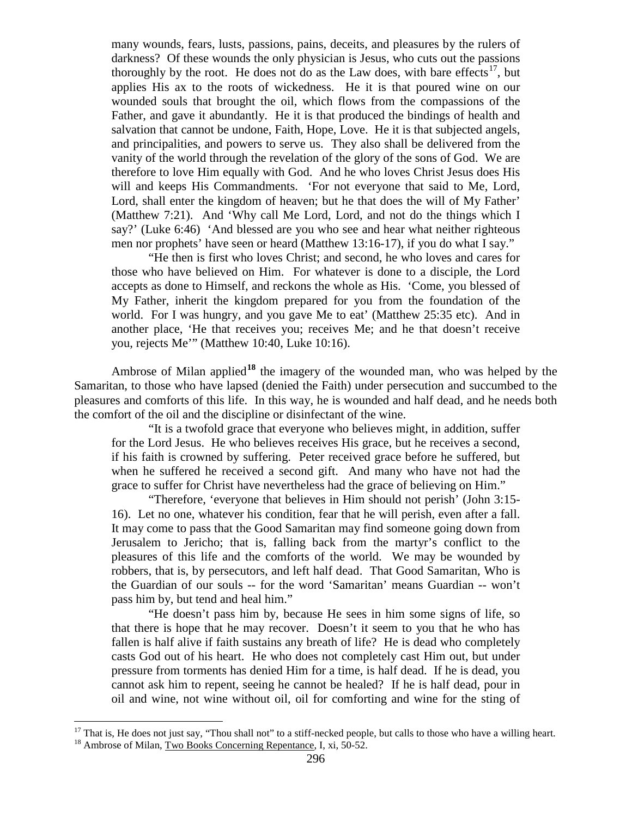many wounds, fears, lusts, passions, pains, deceits, and pleasures by the rulers of darkness? Of these wounds the only physician is Jesus, who cuts out the passions thoroughly by the root. He does not do as the Law does, with bare effects<sup>[17](#page-9-0)</sup>, but applies His ax to the roots of wickedness. He it is that poured wine on our wounded souls that brought the oil, which flows from the compassions of the Father, and gave it abundantly. He it is that produced the bindings of health and salvation that cannot be undone, Faith, Hope, Love. He it is that subjected angels, and principalities, and powers to serve us. They also shall be delivered from the vanity of the world through the revelation of the glory of the sons of God. We are therefore to love Him equally with God. And he who loves Christ Jesus does His will and keeps His Commandments. 'For not everyone that said to Me, Lord, Lord, shall enter the kingdom of heaven; but he that does the will of My Father' (Matthew 7:21). And 'Why call Me Lord, Lord, and not do the things which I say?' (Luke 6:46) 'And blessed are you who see and hear what neither righteous men nor prophets' have seen or heard (Matthew 13:16-17), if you do what I say."

"He then is first who loves Christ; and second, he who loves and cares for those who have believed on Him. For whatever is done to a disciple, the Lord accepts as done to Himself, and reckons the whole as His. 'Come, you blessed of My Father, inherit the kingdom prepared for you from the foundation of the world. For I was hungry, and you gave Me to eat' (Matthew 25:35 etc). And in another place, 'He that receives you; receives Me; and he that doesn't receive you, rejects Me'" (Matthew 10:40, Luke 10:16).

Ambrose of Milan applied**[18](#page-9-1)** the imagery of the wounded man, who was helped by the Samaritan, to those who have lapsed (denied the Faith) under persecution and succumbed to the pleasures and comforts of this life. In this way, he is wounded and half dead, and he needs both the comfort of the oil and the discipline or disinfectant of the wine.

"It is a twofold grace that everyone who believes might, in addition, suffer for the Lord Jesus. He who believes receives His grace, but he receives a second, if his faith is crowned by suffering. Peter received grace before he suffered, but when he suffered he received a second gift. And many who have not had the grace to suffer for Christ have nevertheless had the grace of believing on Him."

"Therefore, 'everyone that believes in Him should not perish' (John 3:15- 16). Let no one, whatever his condition, fear that he will perish, even after a fall. It may come to pass that the Good Samaritan may find someone going down from Jerusalem to Jericho; that is, falling back from the martyr's conflict to the pleasures of this life and the comforts of the world. We may be wounded by robbers, that is, by persecutors, and left half dead. That Good Samaritan, Who is the Guardian of our souls -- for the word 'Samaritan' means Guardian -- won't pass him by, but tend and heal him."

"He doesn't pass him by, because He sees in him some signs of life, so that there is hope that he may recover. Doesn't it seem to you that he who has fallen is half alive if faith sustains any breath of life? He is dead who completely casts God out of his heart. He who does not completely cast Him out, but under pressure from torments has denied Him for a time, is half dead. If he is dead, you cannot ask him to repent, seeing he cannot be healed? If he is half dead, pour in oil and wine, not wine without oil, oil for comforting and wine for the sting of

<span id="page-9-1"></span><span id="page-9-0"></span><sup>&</sup>lt;sup>17</sup> That is, He does not just say, "Thou shall not" to a stiff-necked people, but calls to those who have a willing heart. <sup>18</sup> Ambrose of Milan, <u>Two Books Concerning Repentance</u>, I, xi, 50-52.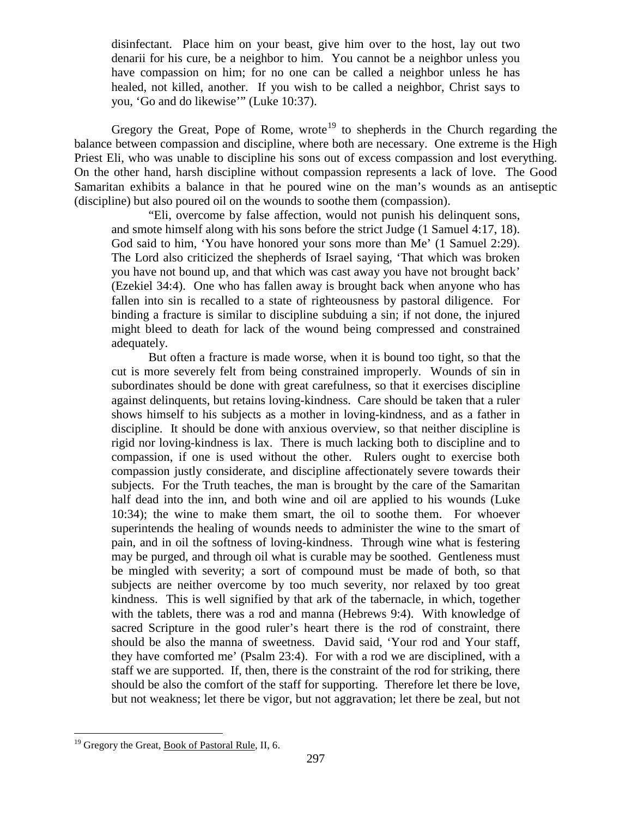disinfectant. Place him on your beast, give him over to the host, lay out two denarii for his cure, be a neighbor to him. You cannot be a neighbor unless you have compassion on him; for no one can be called a neighbor unless he has healed, not killed, another. If you wish to be called a neighbor, Christ says to you, 'Go and do likewise'" (Luke 10:37).

Gregory the Great, Pope of Rome, wrote<sup>[19](#page-10-0)</sup> to shepherds in the Church regarding the balance between compassion and discipline, where both are necessary. One extreme is the High Priest Eli, who was unable to discipline his sons out of excess compassion and lost everything. On the other hand, harsh discipline without compassion represents a lack of love. The Good Samaritan exhibits a balance in that he poured wine on the man's wounds as an antiseptic (discipline) but also poured oil on the wounds to soothe them (compassion).

"Eli, overcome by false affection, would not punish his delinquent sons, and smote himself along with his sons before the strict Judge (1 Samuel 4:17, 18). God said to him, 'You have honored your sons more than Me' (1 Samuel 2:29). The Lord also criticized the shepherds of Israel saying, 'That which was broken you have not bound up, and that which was cast away you have not brought back' (Ezekiel 34:4). One who has fallen away is brought back when anyone who has fallen into sin is recalled to a state of righteousness by pastoral diligence. For binding a fracture is similar to discipline subduing a sin; if not done, the injured might bleed to death for lack of the wound being compressed and constrained adequately.

But often a fracture is made worse, when it is bound too tight, so that the cut is more severely felt from being constrained improperly. Wounds of sin in subordinates should be done with great carefulness, so that it exercises discipline against delinquents, but retains loving-kindness. Care should be taken that a ruler shows himself to his subjects as a mother in loving-kindness, and as a father in discipline. It should be done with anxious overview, so that neither discipline is rigid nor loving-kindness is lax. There is much lacking both to discipline and to compassion, if one is used without the other. Rulers ought to exercise both compassion justly considerate, and discipline affectionately severe towards their subjects. For the Truth teaches, the man is brought by the care of the Samaritan half dead into the inn, and both wine and oil are applied to his wounds (Luke 10:34); the wine to make them smart, the oil to soothe them. For whoever superintends the healing of wounds needs to administer the wine to the smart of pain, and in oil the softness of loving-kindness. Through wine what is festering may be purged, and through oil what is curable may be soothed. Gentleness must be mingled with severity; a sort of compound must be made of both, so that subjects are neither overcome by too much severity, nor relaxed by too great kindness. This is well signified by that ark of the tabernacle, in which, together with the tablets, there was a rod and manna (Hebrews 9:4). With knowledge of sacred Scripture in the good ruler's heart there is the rod of constraint, there should be also the manna of sweetness. David said, 'Your rod and Your staff, they have comforted me' (Psalm 23:4). For with a rod we are disciplined, with a staff we are supported. If, then, there is the constraint of the rod for striking, there should be also the comfort of the staff for supporting. Therefore let there be love, but not weakness; let there be vigor, but not aggravation; let there be zeal, but not

<span id="page-10-0"></span><sup>&</sup>lt;sup>19</sup> Gregory the Great, Book of Pastoral Rule, II, 6.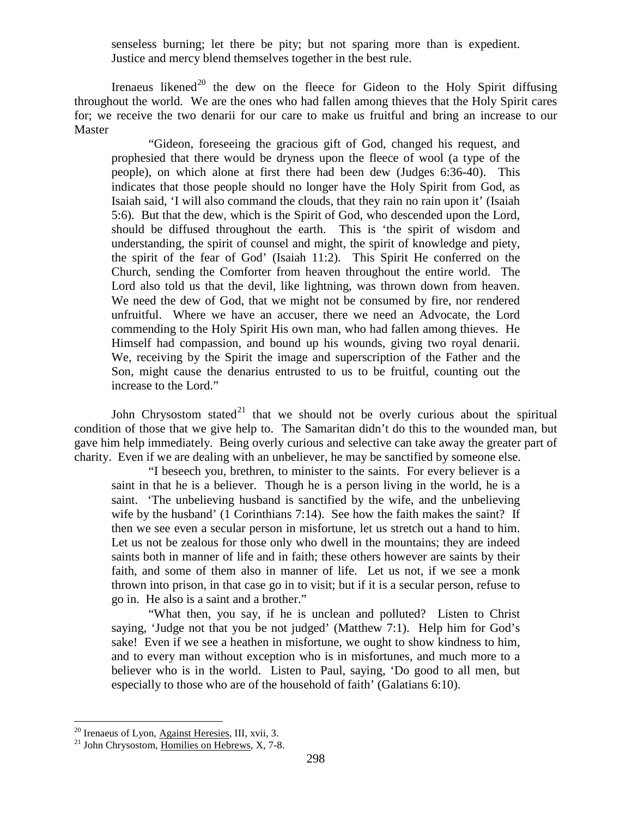senseless burning; let there be pity; but not sparing more than is expedient. Justice and mercy blend themselves together in the best rule.

Irenaeus likened<sup>[20](#page-11-0)</sup> the dew on the fleece for Gideon to the Holy Spirit diffusing throughout the world. We are the ones who had fallen among thieves that the Holy Spirit cares for; we receive the two denarii for our care to make us fruitful and bring an increase to our Master

"Gideon, foreseeing the gracious gift of God, changed his request, and prophesied that there would be dryness upon the fleece of wool (a type of the people), on which alone at first there had been dew (Judges 6:36-40). This indicates that those people should no longer have the Holy Spirit from God, as Isaiah said, 'I will also command the clouds, that they rain no rain upon it' (Isaiah 5:6). But that the dew, which is the Spirit of God, who descended upon the Lord, should be diffused throughout the earth. This is 'the spirit of wisdom and understanding, the spirit of counsel and might, the spirit of knowledge and piety, the spirit of the fear of God' (Isaiah 11:2). This Spirit He conferred on the Church, sending the Comforter from heaven throughout the entire world. The Lord also told us that the devil, like lightning, was thrown down from heaven. We need the dew of God, that we might not be consumed by fire, nor rendered unfruitful. Where we have an accuser, there we need an Advocate, the Lord commending to the Holy Spirit His own man, who had fallen among thieves. He Himself had compassion, and bound up his wounds, giving two royal denarii. We, receiving by the Spirit the image and superscription of the Father and the Son, might cause the denarius entrusted to us to be fruitful, counting out the increase to the Lord."

John Chrysostom stated<sup>[21](#page-11-1)</sup> that we should not be overly curious about the spiritual condition of those that we give help to. The Samaritan didn't do this to the wounded man, but gave him help immediately. Being overly curious and selective can take away the greater part of charity. Even if we are dealing with an unbeliever, he may be sanctified by someone else.

"I beseech you, brethren, to minister to the saints. For every believer is a saint in that he is a believer. Though he is a person living in the world, he is a saint. 'The unbelieving husband is sanctified by the wife, and the unbelieving wife by the husband' (1 Corinthians 7:14). See how the faith makes the saint? If then we see even a secular person in misfortune, let us stretch out a hand to him. Let us not be zealous for those only who dwell in the mountains; they are indeed saints both in manner of life and in faith; these others however are saints by their faith, and some of them also in manner of life. Let us not, if we see a monk thrown into prison, in that case go in to visit; but if it is a secular person, refuse to go in. He also is a saint and a brother."

"What then, you say, if he is unclean and polluted? Listen to Christ saying, 'Judge not that you be not judged' (Matthew 7:1). Help him for God's sake! Even if we see a heathen in misfortune, we ought to show kindness to him, and to every man without exception who is in misfortunes, and much more to a believer who is in the world. Listen to Paul, saying, 'Do good to all men, but especially to those who are of the household of faith' (Galatians 6:10).

<span id="page-11-0"></span><sup>&</sup>lt;sup>20</sup> Irenaeus of Lyon,  $\frac{\text{Against } \text{Heresies}}{\text{21}}$  John Chrysostom, Homilies on Hebrews, X, 7-8.

<span id="page-11-1"></span>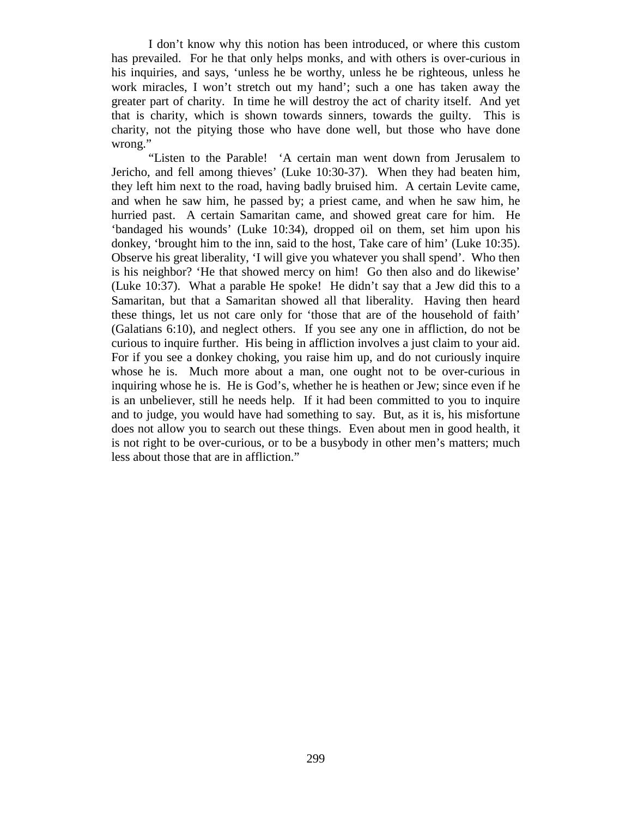I don't know why this notion has been introduced, or where this custom has prevailed. For he that only helps monks, and with others is over-curious in his inquiries, and says, 'unless he be worthy, unless he be righteous, unless he work miracles, I won't stretch out my hand'; such a one has taken away the greater part of charity. In time he will destroy the act of charity itself. And yet that is charity, which is shown towards sinners, towards the guilty. This is charity, not the pitying those who have done well, but those who have done wrong."

"Listen to the Parable! 'A certain man went down from Jerusalem to Jericho, and fell among thieves' (Luke 10:30-37). When they had beaten him, they left him next to the road, having badly bruised him. A certain Levite came, and when he saw him, he passed by; a priest came, and when he saw him, he hurried past. A certain Samaritan came, and showed great care for him. He 'bandaged his wounds' (Luke 10:34), dropped oil on them, set him upon his donkey, 'brought him to the inn, said to the host, Take care of him' (Luke 10:35). Observe his great liberality, 'I will give you whatever you shall spend'. Who then is his neighbor? 'He that showed mercy on him! Go then also and do likewise' (Luke 10:37). What a parable He spoke! He didn't say that a Jew did this to a Samaritan, but that a Samaritan showed all that liberality. Having then heard these things, let us not care only for 'those that are of the household of faith' (Galatians 6:10), and neglect others. If you see any one in affliction, do not be curious to inquire further. His being in affliction involves a just claim to your aid. For if you see a donkey choking, you raise him up, and do not curiously inquire whose he is. Much more about a man, one ought not to be over-curious in inquiring whose he is. He is God's, whether he is heathen or Jew; since even if he is an unbeliever, still he needs help. If it had been committed to you to inquire and to judge, you would have had something to say. But, as it is, his misfortune does not allow you to search out these things. Even about men in good health, it is not right to be over-curious, or to be a busybody in other men's matters; much less about those that are in affliction."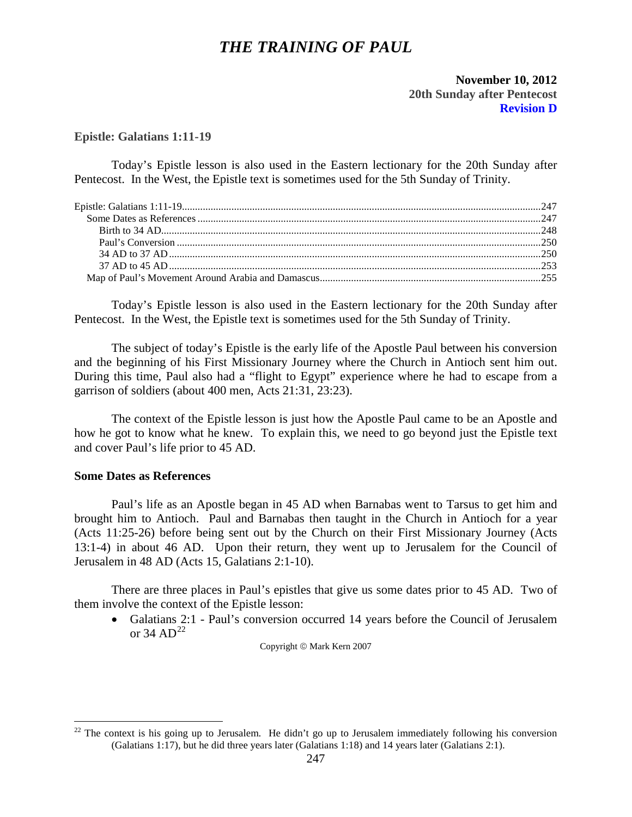# *THE TRAINING OF PAUL*

# **November 10, 2012 20th Sunday after Pentecost Revision D**

## <span id="page-13-0"></span>**Epistle: Galatians 1:11-19**

Today's Epistle lesson is also used in the Eastern lectionary for the 20th Sunday after Pentecost. In the West, the Epistle text is sometimes used for the 5th Sunday of Trinity.

Today's Epistle lesson is also used in the Eastern lectionary for the 20th Sunday after Pentecost. In the West, the Epistle text is sometimes used for the 5th Sunday of Trinity.

The subject of today's Epistle is the early life of the Apostle Paul between his conversion and the beginning of his First Missionary Journey where the Church in Antioch sent him out. During this time, Paul also had a "flight to Egypt" experience where he had to escape from a garrison of soldiers (about 400 men, Acts 21:31, 23:23).

The context of the Epistle lesson is just how the Apostle Paul came to be an Apostle and how he got to know what he knew. To explain this, we need to go beyond just the Epistle text and cover Paul's life prior to 45 AD.

# <span id="page-13-1"></span>**Some Dates as References**

Paul's life as an Apostle began in 45 AD when Barnabas went to Tarsus to get him and brought him to Antioch. Paul and Barnabas then taught in the Church in Antioch for a year (Acts 11:25-26) before being sent out by the Church on their First Missionary Journey (Acts 13:1-4) in about 46 AD. Upon their return, they went up to Jerusalem for the Council of Jerusalem in 48 AD (Acts 15, Galatians 2:1-10).

There are three places in Paul's epistles that give us some dates prior to 45 AD. Two of them involve the context of the Epistle lesson:

• Galatians 2:1 - Paul's conversion occurred 14 years before the Council of Jerusalem or 34 AD<sup>[22](#page-13-2)</sup>

Copyright  $\circ$  Mark Kern 2007

<span id="page-13-2"></span> $22$  The context is his going up to Jerusalem. He didn't go up to Jerusalem immediately following his conversion (Galatians 1:17), but he did three years later (Galatians 1:18) and 14 years later (Galatians 2:1).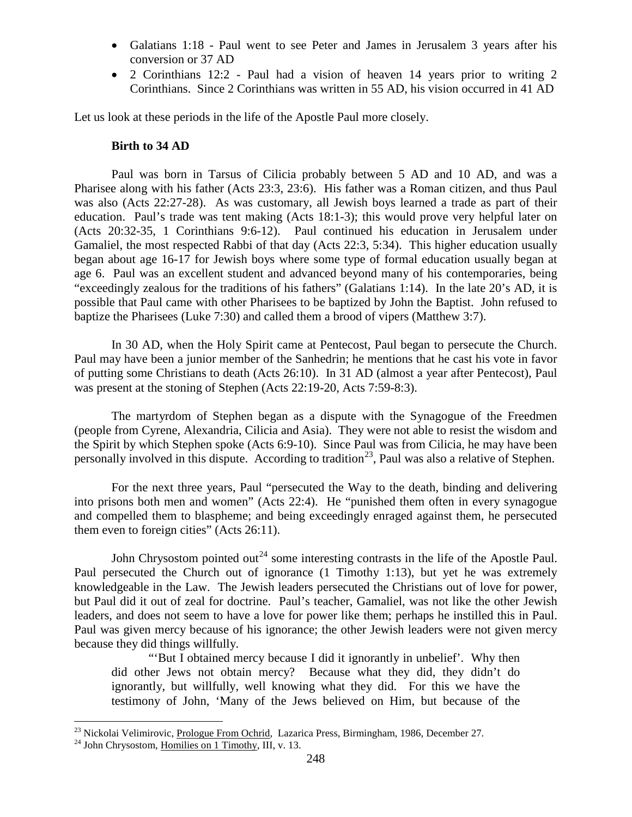- Galatians 1:18 Paul went to see Peter and James in Jerusalem 3 years after his conversion or 37 AD
- 2 Corinthians 12:2 Paul had a vision of heaven 14 years prior to writing 2 Corinthians. Since 2 Corinthians was written in 55 AD, his vision occurred in 41 AD

<span id="page-14-0"></span>Let us look at these periods in the life of the Apostle Paul more closely.

### **Birth to 34 AD**

Paul was born in Tarsus of Cilicia probably between 5 AD and 10 AD, and was a Pharisee along with his father (Acts 23:3, 23:6). His father was a Roman citizen, and thus Paul was also (Acts 22:27-28). As was customary, all Jewish boys learned a trade as part of their education. Paul's trade was tent making (Acts 18:1-3); this would prove very helpful later on (Acts 20:32-35, 1 Corinthians 9:6-12). Paul continued his education in Jerusalem under Gamaliel, the most respected Rabbi of that day (Acts 22:3, 5:34). This higher education usually began about age 16-17 for Jewish boys where some type of formal education usually began at age 6. Paul was an excellent student and advanced beyond many of his contemporaries, being "exceedingly zealous for the traditions of his fathers" (Galatians 1:14). In the late 20's AD, it is possible that Paul came with other Pharisees to be baptized by John the Baptist. John refused to baptize the Pharisees (Luke 7:30) and called them a brood of vipers (Matthew 3:7).

In 30 AD, when the Holy Spirit came at Pentecost, Paul began to persecute the Church. Paul may have been a junior member of the Sanhedrin; he mentions that he cast his vote in favor of putting some Christians to death (Acts 26:10). In 31 AD (almost a year after Pentecost), Paul was present at the stoning of Stephen (Acts 22:19-20, Acts 7:59-8:3).

The martyrdom of Stephen began as a dispute with the Synagogue of the Freedmen (people from Cyrene, Alexandria, Cilicia and Asia). They were not able to resist the wisdom and the Spirit by which Stephen spoke (Acts 6:9-10). Since Paul was from Cilicia, he may have been personally involved in this dispute. According to tradition<sup>23</sup>, Paul was also a relative of Stephen.

For the next three years, Paul "persecuted the Way to the death, binding and delivering into prisons both men and women" (Acts 22:4). He "punished them often in every synagogue and compelled them to blaspheme; and being exceedingly enraged against them, he persecuted them even to foreign cities" (Acts 26:11).

John Chrysostom pointed out<sup>[24](#page-14-2)</sup> some interesting contrasts in the life of the Apostle Paul. Paul persecuted the Church out of ignorance (1 Timothy 1:13), but yet he was extremely knowledgeable in the Law. The Jewish leaders persecuted the Christians out of love for power, but Paul did it out of zeal for doctrine. Paul's teacher, Gamaliel, was not like the other Jewish leaders, and does not seem to have a love for power like them; perhaps he instilled this in Paul. Paul was given mercy because of his ignorance; the other Jewish leaders were not given mercy because they did things willfully.

"'But I obtained mercy because I did it ignorantly in unbelief'. Why then did other Jews not obtain mercy? Because what they did, they didn't do ignorantly, but willfully, well knowing what they did. For this we have the testimony of John, 'Many of the Jews believed on Him, but because of the

<span id="page-14-1"></span><sup>&</sup>lt;sup>23</sup> Nickolai Velimirovic, <u>Prologue From Ochrid</u>, Lazarica Press, Birmingham, 1986, December 27.<br><sup>24</sup> John Chrysostom, Homilies on 1 Timothy, III, v. 13.

<span id="page-14-2"></span>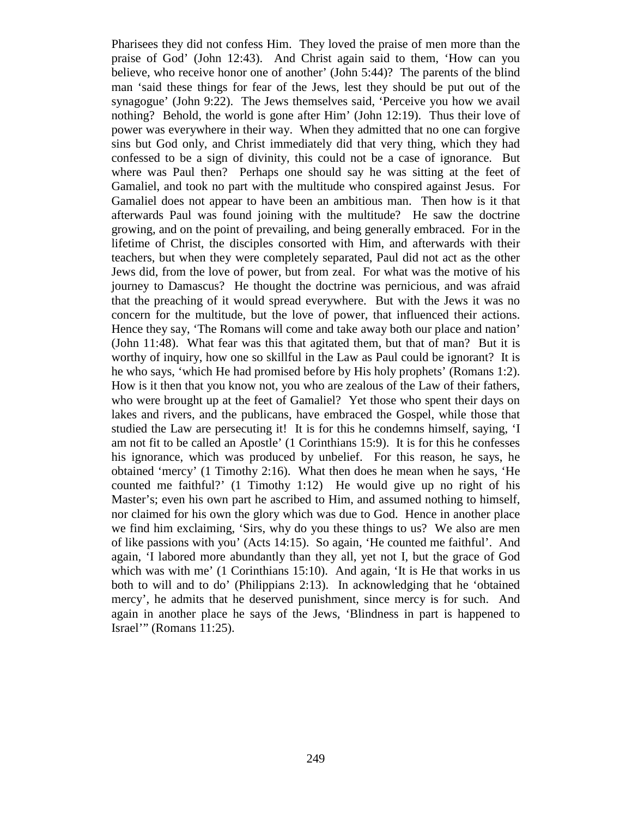<span id="page-15-0"></span>Pharisees they did not confess Him. They loved the praise of men more than the praise of God' (John 12:43). And Christ again said to them, 'How can you believe, who receive honor one of another' (John 5:44)? The parents of the blind man 'said these things for fear of the Jews, lest they should be put out of the synagogue' (John 9:22). The Jews themselves said, 'Perceive you how we avail nothing? Behold, the world is gone after Him' (John 12:19). Thus their love of power was everywhere in their way. When they admitted that no one can forgive sins but God only, and Christ immediately did that very thing, which they had confessed to be a sign of divinity, this could not be a case of ignorance. But where was Paul then? Perhaps one should say he was sitting at the feet of Gamaliel, and took no part with the multitude who conspired against Jesus. For Gamaliel does not appear to have been an ambitious man. Then how is it that afterwards Paul was found joining with the multitude? He saw the doctrine growing, and on the point of prevailing, and being generally embraced. For in the lifetime of Christ, the disciples consorted with Him, and afterwards with their teachers, but when they were completely separated, Paul did not act as the other Jews did, from the love of power, but from zeal. For what was the motive of his journey to Damascus? He thought the doctrine was pernicious, and was afraid that the preaching of it would spread everywhere. But with the Jews it was no concern for the multitude, but the love of power, that influenced their actions. Hence they say, 'The Romans will come and take away both our place and nation' (John 11:48). What fear was this that agitated them, but that of man? But it is worthy of inquiry, how one so skillful in the Law as Paul could be ignorant? It is he who says, 'which He had promised before by His holy prophets' (Romans 1:2). How is it then that you know not, you who are zealous of the Law of their fathers, who were brought up at the feet of Gamaliel? Yet those who spent their days on lakes and rivers, and the publicans, have embraced the Gospel, while those that studied the Law are persecuting it! It is for this he condemns himself, saying, 'I am not fit to be called an Apostle' (1 Corinthians 15:9). It is for this he confesses his ignorance, which was produced by unbelief. For this reason, he says, he obtained 'mercy' (1 Timothy 2:16). What then does he mean when he says, 'He counted me faithful?' (1 Timothy 1:12) He would give up no right of his Master's; even his own part he ascribed to Him, and assumed nothing to himself, nor claimed for his own the glory which was due to God. Hence in another place we find him exclaiming, 'Sirs, why do you these things to us? We also are men of like passions with you' (Acts 14:15). So again, 'He counted me faithful'. And again, 'I labored more abundantly than they all, yet not I, but the grace of God which was with me' (1 Corinthians 15:10). And again, 'It is He that works in us both to will and to do' (Philippians 2:13). In acknowledging that he 'obtained mercy', he admits that he deserved punishment, since mercy is for such. And again in another place he says of the Jews, 'Blindness in part is happened to Israel'" (Romans 11:25).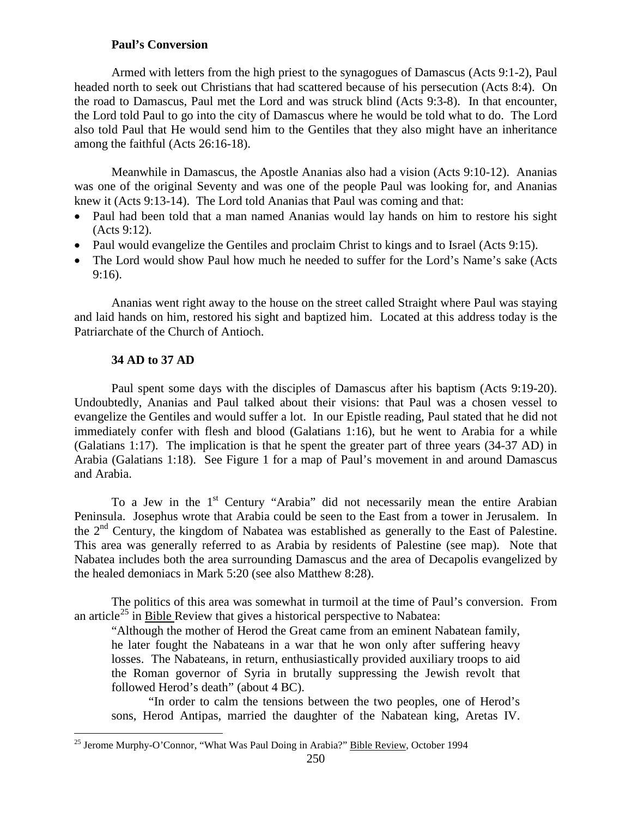# **Paul's Conversion**

Armed with letters from the high priest to the synagogues of Damascus (Acts 9:1-2), Paul headed north to seek out Christians that had scattered because of his persecution (Acts 8:4). On the road to Damascus, Paul met the Lord and was struck blind (Acts 9:3-8). In that encounter, the Lord told Paul to go into the city of Damascus where he would be told what to do. The Lord also told Paul that He would send him to the Gentiles that they also might have an inheritance among the faithful (Acts 26:16-18).

Meanwhile in Damascus, the Apostle Ananias also had a vision (Acts 9:10-12). Ananias was one of the original Seventy and was one of the people Paul was looking for, and Ananias knew it (Acts 9:13-14). The Lord told Ananias that Paul was coming and that:

- Paul had been told that a man named Ananias would lay hands on him to restore his sight (Acts 9:12).
- Paul would evangelize the Gentiles and proclaim Christ to kings and to Israel (Acts 9:15).
- The Lord would show Paul how much he needed to suffer for the Lord's Name's sake (Acts 9:16).

Ananias went right away to the house on the street called Straight where Paul was staying and laid hands on him, restored his sight and baptized him. Located at this address today is the Patriarchate of the Church of Antioch.

## **34 AD to 37 AD**

<span id="page-16-0"></span>Paul spent some days with the disciples of Damascus after his baptism (Acts 9:19-20). Undoubtedly, Ananias and Paul talked about their visions: that Paul was a chosen vessel to evangelize the Gentiles and would suffer a lot. In our Epistle reading, Paul stated that he did not immediately confer with flesh and blood (Galatians 1:16), but he went to Arabia for a while (Galatians 1:17). The implication is that he spent the greater part of three years (34-37 AD) in Arabia (Galatians 1:18). See Figure 1 for a map of Paul's movement in and around Damascus and Arabia.

To a Jew in the 1<sup>st</sup> Century "Arabia" did not necessarily mean the entire Arabian Peninsula. Josephus wrote that Arabia could be seen to the East from a tower in Jerusalem. In the  $2<sup>nd</sup>$  Century, the kingdom of Nabatea was established as generally to the East of Palestine. This area was generally referred to as Arabia by residents of Palestine (see map). Note that Nabatea includes both the area surrounding Damascus and the area of Decapolis evangelized by the healed demoniacs in Mark 5:20 (see also Matthew 8:28).

The politics of this area was somewhat in turmoil at the time of Paul's conversion. From an article<sup>[25](#page-16-1)</sup> in Bible Review that gives a historical perspective to Nabatea:

"Although the mother of Herod the Great came from an eminent Nabatean family, he later fought the Nabateans in a war that he won only after suffering heavy losses. The Nabateans, in return, enthusiastically provided auxiliary troops to aid the Roman governor of Syria in brutally suppressing the Jewish revolt that followed Herod's death" (about 4 BC).

"In order to calm the tensions between the two peoples, one of Herod's sons, Herod Antipas, married the daughter of the Nabatean king, Aretas IV.

<span id="page-16-1"></span><sup>&</sup>lt;sup>25</sup> Jerome Murphy-O'Connor, "What Was Paul Doing in Arabia?" Bible Review, October 1994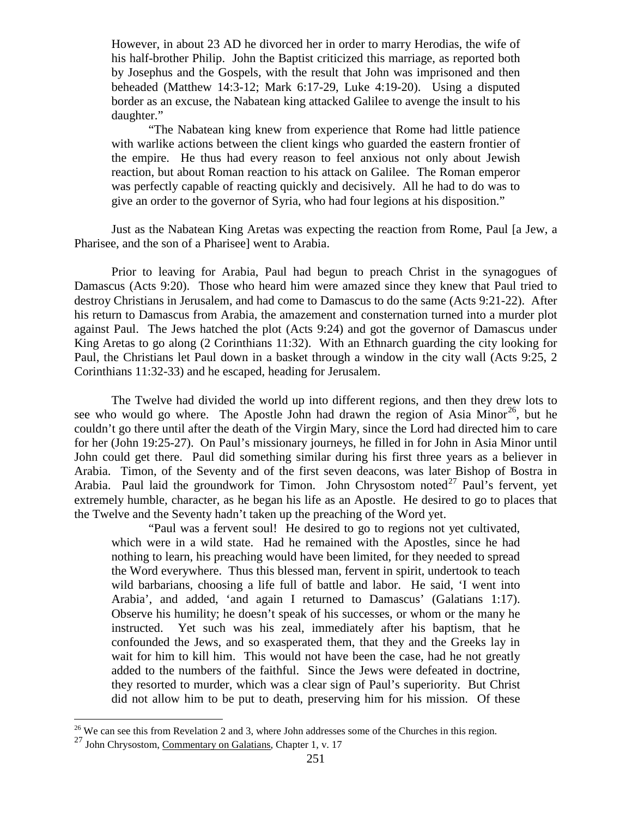However, in about 23 AD he divorced her in order to marry Herodias, the wife of his half-brother Philip. John the Baptist criticized this marriage, as reported both by Josephus and the Gospels, with the result that John was imprisoned and then beheaded (Matthew 14:3-12; Mark 6:17-29, Luke 4:19-20). Using a disputed border as an excuse, the Nabatean king attacked Galilee to avenge the insult to his daughter."

"The Nabatean king knew from experience that Rome had little patience with warlike actions between the client kings who guarded the eastern frontier of the empire. He thus had every reason to feel anxious not only about Jewish reaction, but about Roman reaction to his attack on Galilee. The Roman emperor was perfectly capable of reacting quickly and decisively. All he had to do was to give an order to the governor of Syria, who had four legions at his disposition."

Just as the Nabatean King Aretas was expecting the reaction from Rome, Paul [a Jew, a Pharisee, and the son of a Pharisee] went to Arabia.

Prior to leaving for Arabia, Paul had begun to preach Christ in the synagogues of Damascus (Acts 9:20). Those who heard him were amazed since they knew that Paul tried to destroy Christians in Jerusalem, and had come to Damascus to do the same (Acts 9:21-22). After his return to Damascus from Arabia, the amazement and consternation turned into a murder plot against Paul. The Jews hatched the plot (Acts 9:24) and got the governor of Damascus under King Aretas to go along (2 Corinthians 11:32). With an Ethnarch guarding the city looking for Paul, the Christians let Paul down in a basket through a window in the city wall (Acts 9:25, 2 Corinthians 11:32-33) and he escaped, heading for Jerusalem.

The Twelve had divided the world up into different regions, and then they drew lots to see who would go where. The Apostle John had drawn the region of Asia Minor<sup>[26](#page-17-0)</sup>, but he couldn't go there until after the death of the Virgin Mary, since the Lord had directed him to care for her (John 19:25-27). On Paul's missionary journeys, he filled in for John in Asia Minor until John could get there. Paul did something similar during his first three years as a believer in Arabia. Timon, of the Seventy and of the first seven deacons, was later Bishop of Bostra in Arabia. Paul laid the groundwork for Timon. John Chrysostom noted<sup>[27](#page-17-1)</sup> Paul's fervent, yet extremely humble, character, as he began his life as an Apostle. He desired to go to places that the Twelve and the Seventy hadn't taken up the preaching of the Word yet.

"Paul was a fervent soul! He desired to go to regions not yet cultivated, which were in a wild state. Had he remained with the Apostles, since he had nothing to learn, his preaching would have been limited, for they needed to spread the Word everywhere. Thus this blessed man, fervent in spirit, undertook to teach wild barbarians, choosing a life full of battle and labor. He said, 'I went into Arabia', and added, 'and again I returned to Damascus' (Galatians 1:17). Observe his humility; he doesn't speak of his successes, or whom or the many he instructed. Yet such was his zeal, immediately after his baptism, that he confounded the Jews, and so exasperated them, that they and the Greeks lay in wait for him to kill him. This would not have been the case, had he not greatly added to the numbers of the faithful. Since the Jews were defeated in doctrine, they resorted to murder, which was a clear sign of Paul's superiority. But Christ did not allow him to be put to death, preserving him for his mission. Of these

<span id="page-17-0"></span> $26$  We can see this from Revelation 2 and 3, where John addresses some of the Churches in this region.

<span id="page-17-1"></span><sup>27</sup> John Chrysostom, Commentary on Galatians, Chapter 1, v. 17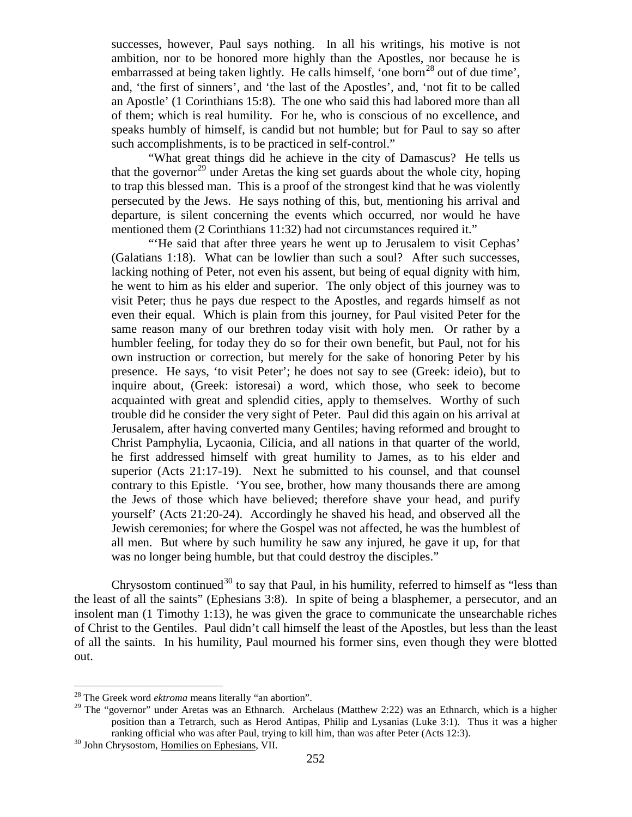successes, however, Paul says nothing. In all his writings, his motive is not ambition, nor to be honored more highly than the Apostles, nor because he is embarrassed at being taken lightly. He calls himself, 'one born<sup>[28](#page-18-0)</sup> out of due time', and, 'the first of sinners', and 'the last of the Apostles', and, 'not fit to be called an Apostle' (1 Corinthians 15:8). The one who said this had labored more than all of them; which is real humility. For he, who is conscious of no excellence, and speaks humbly of himself, is candid but not humble; but for Paul to say so after such accomplishments, is to be practiced in self-control."

"What great things did he achieve in the city of Damascus? He tells us that the governor<sup>[29](#page-18-1)</sup> under Aretas the king set guards about the whole city, hoping to trap this blessed man. This is a proof of the strongest kind that he was violently persecuted by the Jews. He says nothing of this, but, mentioning his arrival and departure, is silent concerning the events which occurred, nor would he have mentioned them (2 Corinthians 11:32) had not circumstances required it."

"'He said that after three years he went up to Jerusalem to visit Cephas' (Galatians 1:18). What can be lowlier than such a soul? After such successes, lacking nothing of Peter, not even his assent, but being of equal dignity with him, he went to him as his elder and superior. The only object of this journey was to visit Peter; thus he pays due respect to the Apostles, and regards himself as not even their equal. Which is plain from this journey, for Paul visited Peter for the same reason many of our brethren today visit with holy men. Or rather by a humbler feeling, for today they do so for their own benefit, but Paul, not for his own instruction or correction, but merely for the sake of honoring Peter by his presence. He says, 'to visit Peter'; he does not say to see (Greek: ideio), but to inquire about, (Greek: istoresai) a word, which those, who seek to become acquainted with great and splendid cities, apply to themselves. Worthy of such trouble did he consider the very sight of Peter. Paul did this again on his arrival at Jerusalem, after having converted many Gentiles; having reformed and brought to Christ Pamphylia, Lycaonia, Cilicia, and all nations in that quarter of the world, he first addressed himself with great humility to James, as to his elder and superior (Acts 21:17-19). Next he submitted to his counsel, and that counsel contrary to this Epistle. 'You see, brother, how many thousands there are among the Jews of those which have believed; therefore shave your head, and purify yourself' (Acts 21:20-24). Accordingly he shaved his head, and observed all the Jewish ceremonies; for where the Gospel was not affected, he was the humblest of all men. But where by such humility he saw any injured, he gave it up, for that was no longer being humble, but that could destroy the disciples."

Chrysostom continued<sup>[30](#page-18-2)</sup> to say that Paul, in his humility, referred to himself as "less than the least of all the saints" (Ephesians 3:8). In spite of being a blasphemer, a persecutor, and an insolent man (1 Timothy 1:13), he was given the grace to communicate the unsearchable riches of Christ to the Gentiles. Paul didn't call himself the least of the Apostles, but less than the least of all the saints. In his humility, Paul mourned his former sins, even though they were blotted out.

<span id="page-18-0"></span><sup>&</sup>lt;sup>28</sup> The Greek word *ektroma* means literally "an abortion".

<span id="page-18-1"></span><sup>&</sup>lt;sup>29</sup> The "governor" under Aretas was an Ethnarch. Archelaus (Matthew 2:22) was an Ethnarch, which is a higher position than a Tetrarch, such as Herod Antipas, Philip and Lysanias (Luke 3:1). Thus it was a higher ranking official who was after Paul, trying to kill him, than was after Peter (Acts 12:3). 30 John Chrysostom, Homilies on Ephesians, VII.

<span id="page-18-2"></span>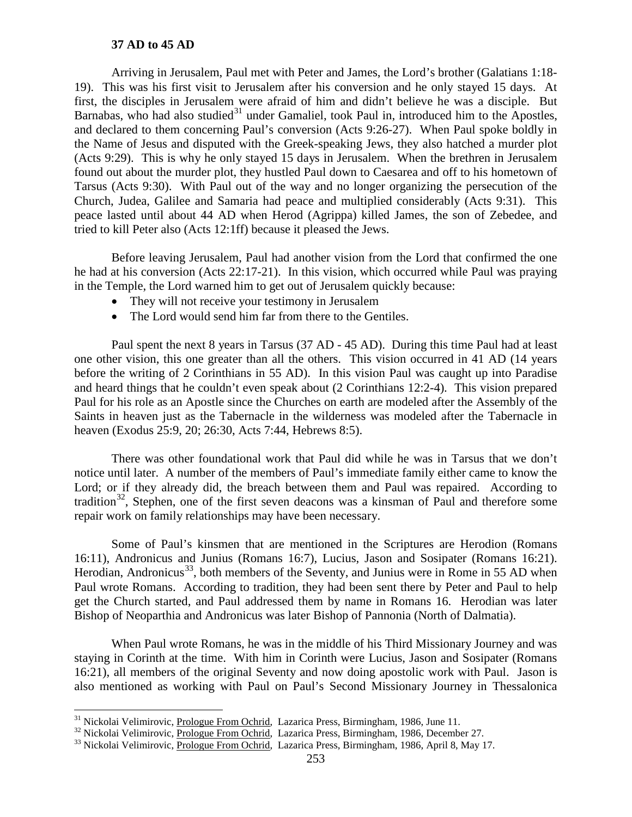## **37 AD to 45 AD**

<span id="page-19-0"></span>Arriving in Jerusalem, Paul met with Peter and James, the Lord's brother (Galatians 1:18- 19). This was his first visit to Jerusalem after his conversion and he only stayed 15 days. At first, the disciples in Jerusalem were afraid of him and didn't believe he was a disciple. But Barnabas, who had also studied<sup>[31](#page-19-1)</sup> under Gamaliel, took Paul in, introduced him to the Apostles, and declared to them concerning Paul's conversion (Acts 9:26-27). When Paul spoke boldly in the Name of Jesus and disputed with the Greek-speaking Jews, they also hatched a murder plot (Acts 9:29). This is why he only stayed 15 days in Jerusalem. When the brethren in Jerusalem found out about the murder plot, they hustled Paul down to Caesarea and off to his hometown of Tarsus (Acts 9:30). With Paul out of the way and no longer organizing the persecution of the Church, Judea, Galilee and Samaria had peace and multiplied considerably (Acts 9:31). This peace lasted until about 44 AD when Herod (Agrippa) killed James, the son of Zebedee, and tried to kill Peter also (Acts 12:1ff) because it pleased the Jews.

Before leaving Jerusalem, Paul had another vision from the Lord that confirmed the one he had at his conversion (Acts 22:17-21). In this vision, which occurred while Paul was praying in the Temple, the Lord warned him to get out of Jerusalem quickly because:

- They will not receive your testimony in Jerusalem
- The Lord would send him far from there to the Gentiles.

Paul spent the next 8 years in Tarsus (37 AD - 45 AD). During this time Paul had at least one other vision, this one greater than all the others. This vision occurred in 41 AD (14 years before the writing of 2 Corinthians in 55 AD). In this vision Paul was caught up into Paradise and heard things that he couldn't even speak about (2 Corinthians 12:2-4). This vision prepared Paul for his role as an Apostle since the Churches on earth are modeled after the Assembly of the Saints in heaven just as the Tabernacle in the wilderness was modeled after the Tabernacle in heaven (Exodus 25:9, 20; 26:30, Acts 7:44, Hebrews 8:5).

There was other foundational work that Paul did while he was in Tarsus that we don't notice until later. A number of the members of Paul's immediate family either came to know the Lord; or if they already did, the breach between them and Paul was repaired. According to tradition<sup>[32](#page-19-2)</sup>, Stephen, one of the first seven deacons was a kinsman of Paul and therefore some repair work on family relationships may have been necessary.

Some of Paul's kinsmen that are mentioned in the Scriptures are Herodion (Romans 16:11), Andronicus and Junius (Romans 16:7), Lucius, Jason and Sosipater (Romans 16:21). Herodian, Andronicus<sup>[33](#page-19-3)</sup>, both members of the Seventy, and Junius were in Rome in 55 AD when Paul wrote Romans. According to tradition, they had been sent there by Peter and Paul to help get the Church started, and Paul addressed them by name in Romans 16. Herodian was later Bishop of Neoparthia and Andronicus was later Bishop of Pannonia (North of Dalmatia).

When Paul wrote Romans, he was in the middle of his Third Missionary Journey and was staying in Corinth at the time. With him in Corinth were Lucius, Jason and Sosipater (Romans 16:21), all members of the original Seventy and now doing apostolic work with Paul. Jason is also mentioned as working with Paul on Paul's Second Missionary Journey in Thessalonica

<span id="page-19-2"></span><span id="page-19-1"></span><sup>&</sup>lt;sup>31</sup> Nickolai Velimirovic, <u>Prologue From Ochrid</u>, Lazarica Press, Birmingham, 1986, June 11.<br><sup>32</sup> Nickolai Velimirovic, <u>Prologue From Ochrid</u>, Lazarica Press, Birmingham, 1986, December 27.<br><sup>33</sup> Nickolai Velimirovic, Pr

<span id="page-19-3"></span>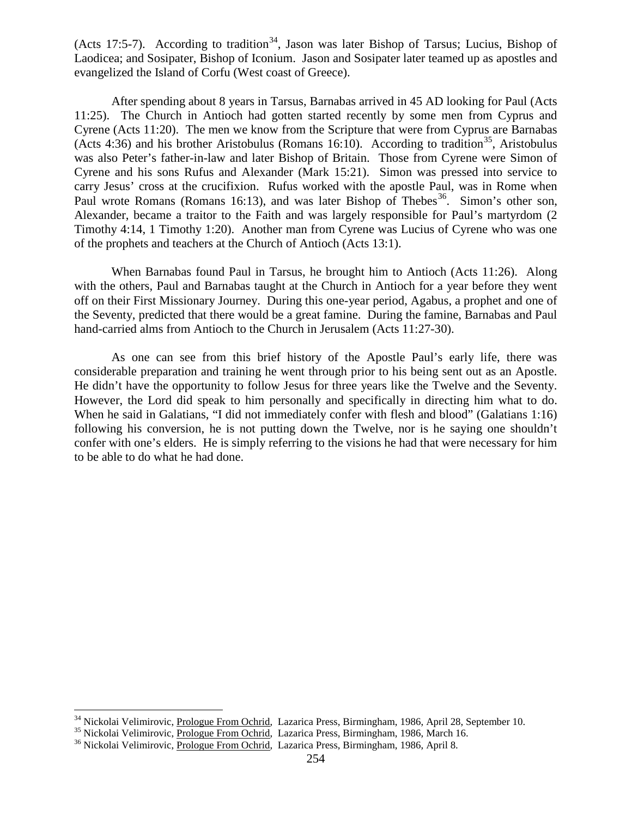(Acts 17:5-7). According to tradition<sup>[34](#page-20-0)</sup>, Jason was later Bishop of Tarsus; Lucius, Bishop of Laodicea; and Sosipater, Bishop of Iconium. Jason and Sosipater later teamed up as apostles and evangelized the Island of Corfu (West coast of Greece).

After spending about 8 years in Tarsus, Barnabas arrived in 45 AD looking for Paul (Acts 11:25). The Church in Antioch had gotten started recently by some men from Cyprus and Cyrene (Acts 11:20). The men we know from the Scripture that were from Cyprus are Barnabas (Acts 4:36) and his brother Aristobulus (Romans 16:10). According to tradition<sup>[35](#page-20-1)</sup>, Aristobulus was also Peter's father-in-law and later Bishop of Britain. Those from Cyrene were Simon of Cyrene and his sons Rufus and Alexander (Mark 15:21). Simon was pressed into service to carry Jesus' cross at the crucifixion. Rufus worked with the apostle Paul, was in Rome when Paul wrote Romans (Romans 16:13), and was later Bishop of Thebes<sup>36</sup>. Simon's other son, Alexander, became a traitor to the Faith and was largely responsible for Paul's martyrdom (2 Timothy 4:14, 1 Timothy 1:20). Another man from Cyrene was Lucius of Cyrene who was one of the prophets and teachers at the Church of Antioch (Acts 13:1).

When Barnabas found Paul in Tarsus, he brought him to Antioch (Acts 11:26). Along with the others, Paul and Barnabas taught at the Church in Antioch for a year before they went off on their First Missionary Journey. During this one-year period, Agabus, a prophet and one of the Seventy, predicted that there would be a great famine. During the famine, Barnabas and Paul hand-carried alms from Antioch to the Church in Jerusalem (Acts 11:27-30).

As one can see from this brief history of the Apostle Paul's early life, there was considerable preparation and training he went through prior to his being sent out as an Apostle. He didn't have the opportunity to follow Jesus for three years like the Twelve and the Seventy. However, the Lord did speak to him personally and specifically in directing him what to do. When he said in Galatians, "I did not immediately confer with flesh and blood" (Galatians 1:16) following his conversion, he is not putting down the Twelve, nor is he saying one shouldn't confer with one's elders. He is simply referring to the visions he had that were necessary for him to be able to do what he had done.

<span id="page-20-0"></span><sup>&</sup>lt;sup>34</sup> Nickolai Velimirovic, <u>Prologue From Ochrid</u>, Lazarica Press, Birmingham, 1986, April 28, September 10.<br><sup>35</sup> Nickolai Velimirovic, <u>Prologue From Ochrid</u>, Lazarica Press, Birmingham, 1986, March 16.<br><sup>36</sup> Nickolai Veli

<span id="page-20-2"></span><span id="page-20-1"></span>